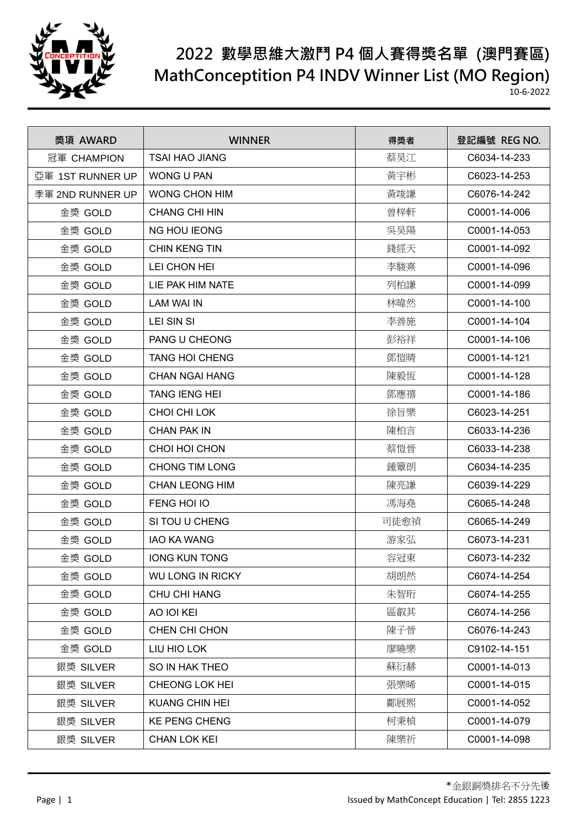

| 獎項 AWARD         | <b>WINNER</b>           | 得獎者  | 登記編號 REG NO. |
|------------------|-------------------------|------|--------------|
| 冠軍 CHAMPION      | <b>TSAI HAO JIANG</b>   | 蔡昊江  | C6034-14-233 |
| 亞軍 1ST RUNNER UP | <b>WONG U PAN</b>       | 黃宇彬  | C6023-14-253 |
| 季軍 2ND RUNNER UP | <b>WONG CHON HIM</b>    | 黃竣謙  | C6076-14-242 |
| 金獎 GOLD          | <b>CHANG CHI HIN</b>    | 曾梓軒  | C0001-14-006 |
| 金獎 GOLD          | <b>NG HOU IEONG</b>     | 吳昊陽  | C0001-14-053 |
| 金獎 GOLD          | <b>CHIN KENG TIN</b>    | 錢經天  | C0001-14-092 |
| 金獎 GOLD          | LEI CHON HEI            | 李駿熹  | C0001-14-096 |
| 金獎 GOLD          | LIE PAK HIM NATE        | 列柏謙  | C0001-14-099 |
| 金獎 GOLD          | LAM WAI IN              | 林暐然  | C0001-14-100 |
| 金獎 GOLD          | <b>LEI SIN SI</b>       | 李善施  | C0001-14-104 |
| 金獎 GOLD          | <b>PANG U CHEONG</b>    | 彭裕祥  | C0001-14-106 |
| 金獎 GOLD          | <b>TANG HOI CHENG</b>   | 鄧愷晴  | C0001-14-121 |
| 金獎 GOLD          | <b>CHAN NGAI HANG</b>   | 陳毅恆  | C0001-14-128 |
| 金獎 GOLD          | <b>TANG IENG HEI</b>    | 鄧應禧  | C0001-14-186 |
| 金獎 GOLD          | CHOI CHI LOK            | 徐旨樂  | C6023-14-251 |
| 金獎 GOLD          | <b>CHAN PAK IN</b>      | 陳柏言  | C6033-14-236 |
| 金獎 GOLD          | CHOI HOI CHON           | 蔡愷晉  | C6033-14-238 |
| 金獎 GOLD          | <b>CHONG TIM LONG</b>   | 鍾簟朗  | C6034-14-235 |
| 金獎 GOLD          | <b>CHAN LEONG HIM</b>   | 陳亮謙  | C6039-14-229 |
| 金獎 GOLD          | FENG HOI IO             | 馮海堯  | C6065-14-248 |
| 金獎 GOLD          | SI TOU U CHENG          | 司徒愈禎 | C6065-14-249 |
| 金獎 GOLD          | <b>IAO KA WANG</b>      | 游家弘  | C6073-14-231 |
| 金獎 GOLD          | <b>IONG KUN TONG</b>    | 容冠東  | C6073-14-232 |
| 金獎 GOLD          | <b>WU LONG IN RICKY</b> | 胡朗然  | C6074-14-254 |
| 金獎 GOLD          | CHU CHI HANG            | 朱智珩  | C6074-14-255 |
| 金獎 GOLD          | AO IOI KEI              | 區叡其  | C6074-14-256 |
| 金獎 GOLD          | CHEN CHI CHON           | 陳子晉  | C6076-14-243 |
| 金獎 GOLD          | LIU HIO LOK             | 廖曉樂  | C9102-14-151 |
| 銀獎 SILVER        | SO IN HAK THEO          | 蘇衍赫  | C0001-14-013 |
| 銀獎 SILVER        | <b>CHEONG LOK HEI</b>   | 張樂晞  | C0001-14-015 |
| 銀獎 SILVER        | <b>KUANG CHIN HEI</b>   | 鄺展熙  | C0001-14-052 |
| 銀獎 SILVER        | <b>KE PENG CHENG</b>    | 柯秉楨  | C0001-14-079 |
| 銀獎 SILVER        | CHAN LOK KEI            | 陳樂祈  | C0001-14-098 |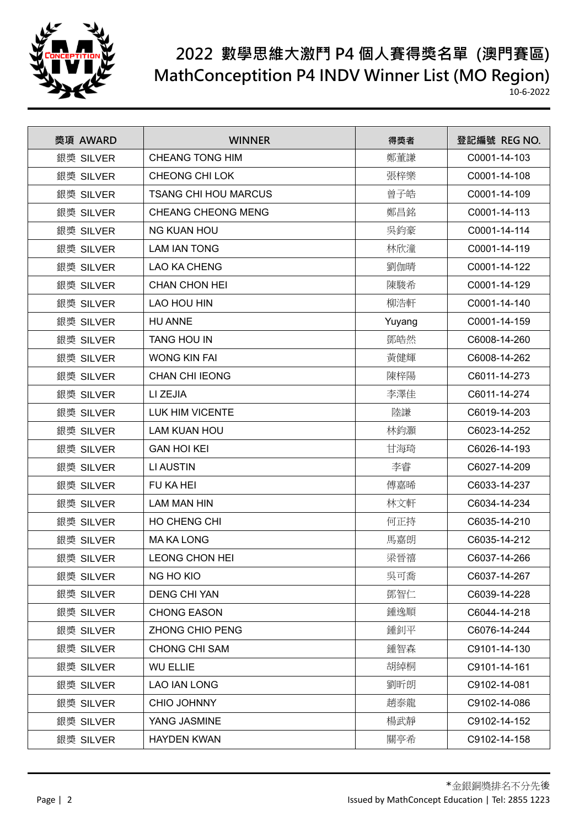

| 獎項 AWARD  | <b>WINNER</b>               | 得獎者    | 登記編號 REG NO. |
|-----------|-----------------------------|--------|--------------|
| 銀獎 SILVER | <b>CHEANG TONG HIM</b>      | 鄭董謙    | C0001-14-103 |
| 銀獎 SILVER | <b>CHEONG CHI LOK</b>       | 張梓樂    | C0001-14-108 |
| 銀獎 SILVER | <b>TSANG CHI HOU MARCUS</b> | 曾子皓    | C0001-14-109 |
| 銀獎 SILVER | <b>CHEANG CHEONG MENG</b>   | 鄭昌銘    | C0001-14-113 |
| 銀獎 SILVER | <b>NG KUAN HOU</b>          | 吳鈞豪    | C0001-14-114 |
| 銀獎 SILVER | <b>LAM IAN TONG</b>         | 林欣潼    | C0001-14-119 |
| 銀獎 SILVER | <b>LAO KA CHENG</b>         | 劉伽晴    | C0001-14-122 |
| 銀獎 SILVER | <b>CHAN CHON HEI</b>        | 陳駿希    | C0001-14-129 |
| 銀獎 SILVER | LAO HOU HIN                 | 柳浩軒    | C0001-14-140 |
| 銀獎 SILVER | <b>HU ANNE</b>              | Yuyang | C0001-14-159 |
| 銀獎 SILVER | <b>TANG HOU IN</b>          | 鄧皓然    | C6008-14-260 |
| 銀獎 SILVER | <b>WONG KIN FAI</b>         | 黃健輝    | C6008-14-262 |
| 銀獎 SILVER | <b>CHAN CHI IEONG</b>       | 陳梓陽    | C6011-14-273 |
| 銀獎 SILVER | LI ZEJIA                    | 李澤佳    | C6011-14-274 |
| 銀獎 SILVER | <b>LUK HIM VICENTE</b>      | 陸謙     | C6019-14-203 |
| 銀獎 SILVER | <b>LAM KUAN HOU</b>         | 林鈞灝    | C6023-14-252 |
| 銀獎 SILVER | <b>GAN HOI KEI</b>          | 甘海琦    | C6026-14-193 |
| 銀獎 SILVER | <b>LI AUSTIN</b>            | 李睿     | C6027-14-209 |
| 銀獎 SILVER | FU KA HEI                   | 傅嘉晞    | C6033-14-237 |
| 銀獎 SILVER | <b>LAM MAN HIN</b>          | 林文軒    | C6034-14-234 |
| 銀獎 SILVER | HO CHENG CHI                | 何正持    | C6035-14-210 |
| 銀獎 SILVER | <b>MA KA LONG</b>           | 馬嘉朗    | C6035-14-212 |
| 銀獎 SILVER | <b>LEONG CHON HEI</b>       | 梁晉禧    | C6037-14-266 |
| 銀獎 SILVER | NG HO KIO                   | 吳可喬    | C6037-14-267 |
| 銀獎 SILVER | <b>DENG CHI YAN</b>         | 鄧智仁    | C6039-14-228 |
| 銀獎 SILVER | <b>CHONG EASON</b>          | 鍾逸順    | C6044-14-218 |
| 銀獎 SILVER | <b>ZHONG CHIO PENG</b>      | 鍾釗平    | C6076-14-244 |
| 銀獎 SILVER | <b>CHONG CHI SAM</b>        | 鍾智森    | C9101-14-130 |
| 銀獎 SILVER | <b>WU ELLIE</b>             | 胡綽桐    | C9101-14-161 |
| 銀獎 SILVER | <b>LAO IAN LONG</b>         | 劉昕朗    | C9102-14-081 |
| 銀獎 SILVER | <b>CHIO JOHNNY</b>          | 趙泰龍    | C9102-14-086 |
| 銀獎 SILVER | YANG JASMINE                | 楊武靜    | C9102-14-152 |
| 銀獎 SILVER | <b>HAYDEN KWAN</b>          | 關亭希    | C9102-14-158 |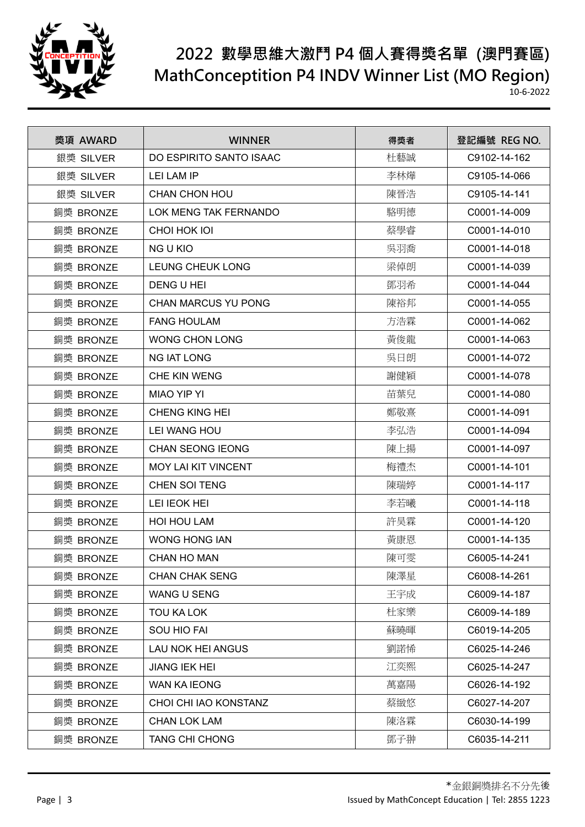

| 獎項 AWARD  | <b>WINNER</b>              | 得獎者 | 登記編號 REG NO. |
|-----------|----------------------------|-----|--------------|
| 銀獎 SILVER | DO ESPIRITO SANTO ISAAC    | 杜藝誠 | C9102-14-162 |
| 銀獎 SILVER | LEI LAM IP                 | 李林燁 | C9105-14-066 |
| 銀獎 SILVER | <b>CHAN CHON HOU</b>       | 陳晉浩 | C9105-14-141 |
| 銅獎 BRONZE | LOK MENG TAK FERNANDO      | 駱明德 | C0001-14-009 |
| 銅獎 BRONZE | CHOI HOK IOI               | 蔡學睿 | C0001-14-010 |
| 銅獎 BRONZE | <b>NG U KIO</b>            | 吳羽喬 | C0001-14-018 |
| 銅獎 BRONZE | <b>LEUNG CHEUK LONG</b>    | 梁倬朗 | C0001-14-039 |
| 銅獎 BRONZE | DENG U HEI                 | 鄧羽希 | C0001-14-044 |
| 銅獎 BRONZE | CHAN MARCUS YU PONG        | 陳裕邦 | C0001-14-055 |
| 銅獎 BRONZE | <b>FANG HOULAM</b>         | 方浩霖 | C0001-14-062 |
| 銅獎 BRONZE | WONG CHON LONG             | 黃俊龍 | C0001-14-063 |
| 銅獎 BRONZE | <b>NG IAT LONG</b>         | 吳日朗 | C0001-14-072 |
| 銅獎 BRONZE | CHE KIN WENG               | 謝健穎 | C0001-14-078 |
| 銅獎 BRONZE | <b>MIAO YIP YI</b>         | 苗葉兒 | C0001-14-080 |
| 銅獎 BRONZE | <b>CHENG KING HEI</b>      | 鄭敬熹 | C0001-14-091 |
| 銅獎 BRONZE | LEI WANG HOU               | 李弘浩 | C0001-14-094 |
| 銅獎 BRONZE | <b>CHAN SEONG IEONG</b>    | 陳上揚 | C0001-14-097 |
| 銅獎 BRONZE | <b>MOY LAI KIT VINCENT</b> | 梅禮杰 | C0001-14-101 |
| 銅獎 BRONZE | <b>CHEN SOI TENG</b>       | 陳瑞婷 | C0001-14-117 |
| 銅獎 BRONZE | LEI IEOK HEI               | 李若曦 | C0001-14-118 |
| 銅獎 BRONZE | <b>HOI HOU LAM</b>         | 許昊霖 | C0001-14-120 |
| 銅獎 BRONZE | <b>WONG HONG IAN</b>       | 黃康恩 | C0001-14-135 |
| 銅獎 BRONZE | <b>CHAN HO MAN</b>         | 陳可雯 | C6005-14-241 |
| 銅獎 BRONZE | <b>CHAN CHAK SENG</b>      | 陳澤星 | C6008-14-261 |
| 銅獎 BRONZE | <b>WANG U SENG</b>         | 王宇成 | C6009-14-187 |
| 銅獎 BRONZE | <b>TOU KA LOK</b>          | 杜家樂 | C6009-14-189 |
| 銅獎 BRONZE | <b>SOU HIO FAI</b>         | 蘇曉暉 | C6019-14-205 |
| 銅獎 BRONZE | LAU NOK HEI ANGUS          | 劉諾悕 | C6025-14-246 |
| 銅獎 BRONZE | <b>JIANG IEK HEI</b>       | 江奕熙 | C6025-14-247 |
| 銅獎 BRONZE | <b>WAN KA IEONG</b>        | 萬嘉陽 | C6026-14-192 |
| 銅獎 BRONZE | CHOI CHI IAO KONSTANZ      | 蔡緻悠 | C6027-14-207 |
| 銅獎 BRONZE | <b>CHAN LOK LAM</b>        | 陳洛霖 | C6030-14-199 |
| 銅獎 BRONZE | <b>TANG CHI CHONG</b>      | 鄧子翀 | C6035-14-211 |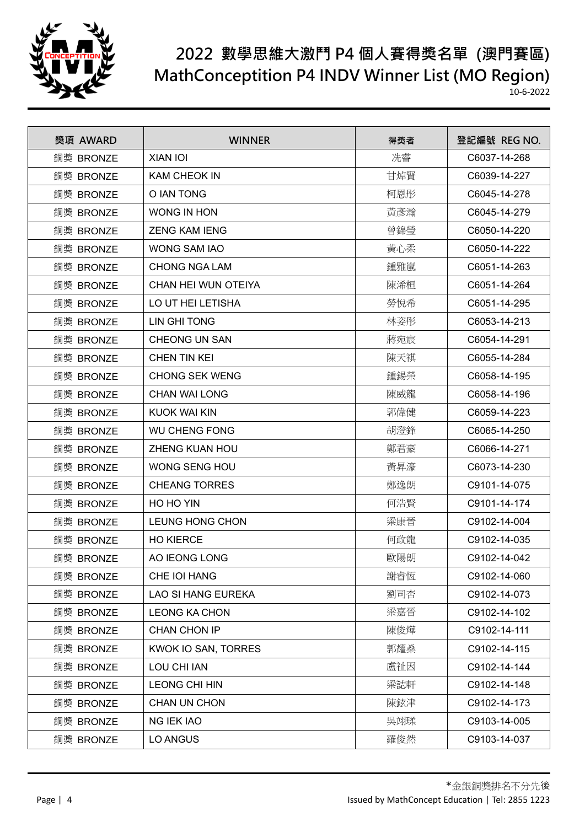

| 獎項 AWARD  | <b>WINNER</b>          | 得獎者 | 登記編號 REG NO. |
|-----------|------------------------|-----|--------------|
| 銅獎 BRONZE | XIAN IOI               | 冼睿  | C6037-14-268 |
| 銅獎 BRONZE | <b>KAM CHEOK IN</b>    | 甘焯賢 | C6039-14-227 |
| 銅獎 BRONZE | O IAN TONG             | 柯恩彤 | C6045-14-278 |
| 銅獎 BRONZE | <b>WONG IN HON</b>     | 黃彥瀚 | C6045-14-279 |
| 銅獎 BRONZE | <b>ZENG KAM IENG</b>   | 曾錦瑩 | C6050-14-220 |
| 銅獎 BRONZE | <b>WONG SAM IAO</b>    | 黃心柔 | C6050-14-222 |
| 銅獎 BRONZE | <b>CHONG NGA LAM</b>   | 鍾雅嵐 | C6051-14-263 |
| 銅獎 BRONZE | CHAN HEI WUN OTEIYA    | 陳浠桓 | C6051-14-264 |
| 銅獎 BRONZE | LO UT HEI LETISHA      | 勞悅希 | C6051-14-295 |
| 銅獎 BRONZE | LIN GHI TONG           | 林姿彤 | C6053-14-213 |
| 銅獎 BRONZE | <b>CHEONG UN SAN</b>   | 蔣宛宸 | C6054-14-291 |
| 銅獎 BRONZE | <b>CHEN TIN KEI</b>    | 陳天祺 | C6055-14-284 |
| 銅獎 BRONZE | <b>CHONG SEK WENG</b>  | 鍾錫榮 | C6058-14-195 |
| 銅獎 BRONZE | <b>CHAN WAI LONG</b>   | 陳威龍 | C6058-14-196 |
| 銅獎 BRONZE | <b>KUOK WAI KIN</b>    | 郭偉健 | C6059-14-223 |
| 銅獎 BRONZE | <b>WU CHENG FONG</b>   | 胡澄鋒 | C6065-14-250 |
| 銅獎 BRONZE | ZHENG KUAN HOU         | 鄭君豪 | C6066-14-271 |
| 銅獎 BRONZE | WONG SENG HOU          | 黃昇濠 | C6073-14-230 |
| 銅獎 BRONZE | <b>CHEANG TORRES</b>   | 鄭逸朗 | C9101-14-075 |
| 銅獎 BRONZE | HO HO YIN              | 何浩賢 | C9101-14-174 |
| 銅獎 BRONZE | <b>LEUNG HONG CHON</b> | 梁康晉 | C9102-14-004 |
| 銅獎 BRONZE | <b>HO KIERCE</b>       | 何政龍 | C9102-14-035 |
| 銅獎 BRONZE | AO IEONG LONG          | 歐陽朗 | C9102-14-042 |
| 銅獎 BRONZE | CHE IOI HANG           | 謝睿恆 | C9102-14-060 |
| 銅獎 BRONZE | LAO SI HANG EUREKA     | 劉司杏 | C9102-14-073 |
| 銅獎 BRONZE | <b>LEONG KA CHON</b>   | 梁嘉晉 | C9102-14-102 |
| 銅獎 BRONZE | CHAN CHON IP           | 陳俊燁 | C9102-14-111 |
| 銅獎 BRONZE | KWOK IO SAN, TORRES    | 郭耀燊 | C9102-14-115 |
| 銅獎 BRONZE | LOU CHI IAN            | 盧祉因 | C9102-14-144 |
| 銅獎 BRONZE | <b>LEONG CHI HIN</b>   | 梁誌軒 | C9102-14-148 |
| 銅獎 BRONZE | <b>CHAN UN CHON</b>    | 陳鉉津 | C9102-14-173 |
| 銅獎 BRONZE | <b>NG IEK IAO</b>      | 吳翊瑈 | C9103-14-005 |
| 銅獎 BRONZE | LO ANGUS               | 羅俊然 | C9103-14-037 |